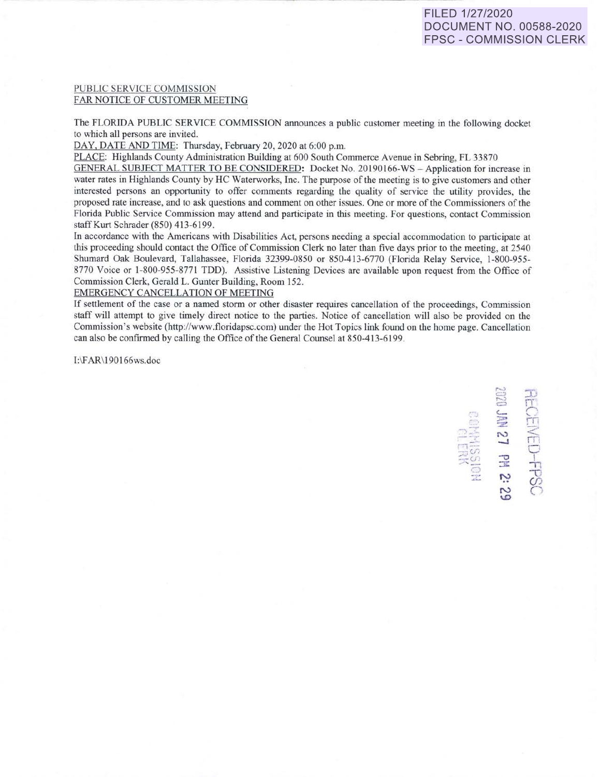## PUBLIC SER VICE COMMISSION FAR NOTICE OF CUSTOMER MEETING

The FLORIDA PUBLIC SERVICE COMMISSION announces a public customer meeting in the following docket to which all persons are invited.

DAY. DATE AND TIME: Thursday, February 20, 2020 at 6:00 p.m.

PLACE: Highlands County Administration Building at 600 South Commerce Avenue in Sebring, FL 33870

GENERAL SUBJECT MATTER TO BE CONSIDERED: Docket No. 20190166-WS - Application for increase in water rates in Highlands County by HC Waterworks, Inc. The purpose of the meeting is to give customers and other interested persons an opportunity to offer comments regarding the quality of service the utility provides, the proposed rate increase, and to ask questions and comment on other is ues. One or more of the Commis ioner of the Florida Public Service Commission may attend and participate in this meeting. For questions, contact Commission staff Kurt Schrader (850) 413-6199.

In accordance with the Americans with Disabilities Act, persons needing a special accommodation to participate at this proceeding should contact the Office of Commission Clerk no later than five days prior to the meeting, at 2540 Shumard Oak Boulevard, Tallahassee, Florida 32399-0850 or 850-413-6770 (Florida Relay Service, 1-800-955-8770 Voice or 1-800-955-8771 TDD). Assistive Listening Devices are available upon request from the Office of Commission Clerk, Gerald L. Gunter Building, Room 152.

## EMERGENCY CANCELLATION OF MEETING

If settlement of the case or a named storm or other disaster requires cancellation of the proceedings, Commission staff will attempt to give timely direct notice to the parties. Notice of cancellation will also be provided on the Commission's website (http://www.floridapsc.com) under the Hot Topics link found on the home page. Cancellation can also be confirmed by calling the Office of the General Counsel at 850-413-6199.

l:\F AR\! 90!66ws.doc

**三、马** 13<br>- 3 W M M<br>- 3 W M M M M 3<br>- 3 A H SO T & -·~ **-.I** rn -:1- ~-: **c.r:-** 0 :rvJ ... \_ **-0** <sup>l</sup> **FPS 3: <sup>N</sup>***r*  **\.0**